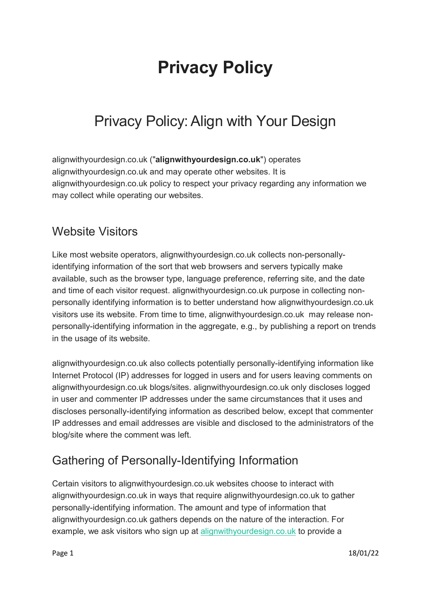# Privacy Policy

## Privacy Policy:Align with Your Design

alignwithyourdesign.co.uk ("alignwithyourdesign.co.uk") operates alignwithyourdesign.co.uk and may operate other websites. It is alignwithyourdesign.co.uk policy to respect your privacy regarding any information we may collect while operating our websites.

#### Website Visitors

Like most website operators, alignwithyourdesign.co.uk collects non-personallyidentifying information of the sort that web browsers and servers typically make available, such as the browser type, language preference, referring site, and the date and time of each visitor request. alignwithyourdesign.co.uk purpose in collecting nonpersonally identifying information is to better understand how alignwithyourdesign.co.uk visitors use its website. From time to time, alignwithyourdesign.co.uk may release nonpersonally-identifying information in the aggregate, e.g., by publishing a report on trends in the usage of its website.

alignwithyourdesign.co.uk also collects potentially personally-identifying information like Internet Protocol (IP) addresses for logged in users and for users leaving comments on alignwithyourdesign.co.uk blogs/sites. alignwithyourdesign.co.uk only discloses logged in user and commenter IP addresses under the same circumstances that it uses and discloses personally-identifying information as described below, except that commenter IP addresses and email addresses are visible and disclosed to the administrators of the blog/site where the comment was left.

#### Gathering of Personally-Identifying Information

Certain visitors to alignwithyourdesign.co.uk websites choose to interact with alignwithyourdesign.co.uk in ways that require alignwithyourdesign.co.uk to gather personally-identifying information. The amount and type of information that alignwithyourdesign.co.uk gathers depends on the nature of the interaction. For example, we ask visitors who sign up at alignwithyourdesign.co.uk to provide a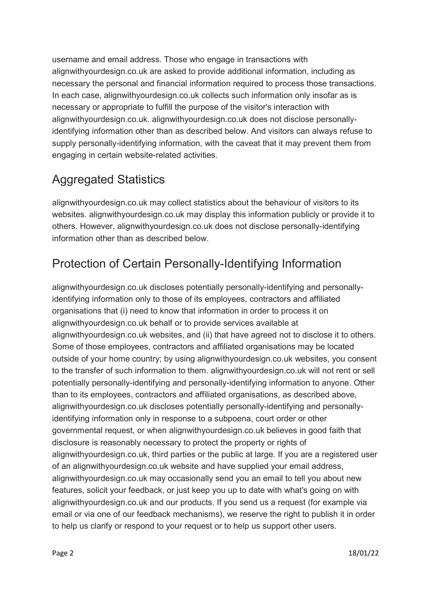username and email address. Those who engage in transactions with alignwithyourdesign.co.uk are asked to provide additional information, including as necessary the personal and financial information required to process those transactions. In each case, alignwithyourdesign.co.uk collects such information only insofar as is necessary or appropriate to fulfill the purpose of the visitor's interaction with alignwithyourdesign.co.uk. alignwithyourdesign.co.uk does not disclose personallyidentifying information other than as described below. And visitors can always refuse to supply personally-identifying information, with the caveat that it may prevent them from engaging in certain website-related activities.

#### Aggregated Statistics

alignwithyourdesign.co.uk may collect statistics about the behaviour of visitors to its websites. alignwithyourdesign.co.uk may display this information publicly or provide it to others. However, alignwithyourdesign.co.uk does not disclose personally-identifying information other than as described below.

### Protection of Certain Personally-Identifying Information

alignwithyourdesign.co.uk discloses potentially personally-identifying and personallyidentifying information only to those of its employees, contractors and affiliated organisations that (i) need to know that information in order to process it on alignwithyourdesign.co.uk behalf or to provide services available at alignwithyourdesign.co.uk websites, and (ii) that have agreed not to disclose it to others. Some of those employees, contractors and affiliated organisations may be located outside of your home country; by using alignwithyourdesign.co.uk websites, you consent to the transfer of such information to them. alignwithyourdesign.co.uk will not rent or sell potentially personally-identifying and personally-identifying information to anyone. Other than to its employees, contractors and affiliated organisations, as described above, alignwithyourdesign.co.uk discloses potentially personally-identifying and personallyidentifying information only in response to a subpoena, court order or other governmental request, or when alignwithyourdesign.co.uk believes in good faith that disclosure is reasonably necessary to protect the property or rights of alignwithyourdesign.co.uk, third parties or the public at large. If you are a registered user of an alignwithyourdesign.co.uk website and have supplied your email address, alignwithyourdesign.co.uk may occasionally send you an email to tell you about new features, solicit your feedback, or just keep you up to date with what's going on with alignwithyourdesign.co.uk and our products. If you send us a request (for example via email or via one of our feedback mechanisms), we reserve the right to publish it in order to help us clarify or respond to your request or to help us support other users.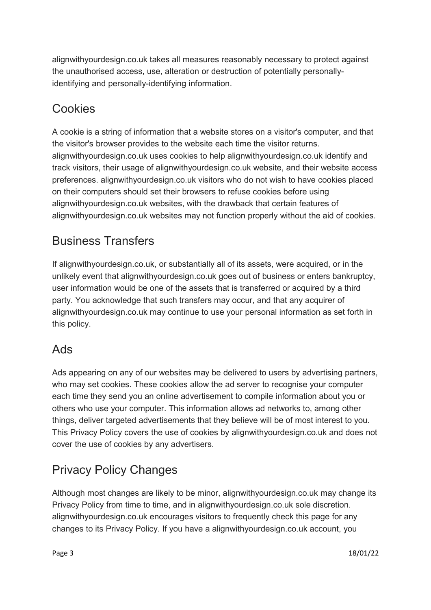alignwithyourdesign.co.uk takes all measures reasonably necessary to protect against the unauthorised access, use, alteration or destruction of potentially personallyidentifying and personally-identifying information.

#### Cookies

A cookie is a string of information that a website stores on a visitor's computer, and that the visitor's browser provides to the website each time the visitor returns. alignwithyourdesign.co.uk uses cookies to help alignwithyourdesign.co.uk identify and track visitors, their usage of alignwithyourdesign.co.uk website, and their website access preferences. alignwithyourdesign.co.uk visitors who do not wish to have cookies placed on their computers should set their browsers to refuse cookies before using alignwithyourdesign.co.uk websites, with the drawback that certain features of alignwithyourdesign.co.uk websites may not function properly without the aid of cookies.

### Business Transfers

If alignwithyourdesign.co.uk, or substantially all of its assets, were acquired, or in the unlikely event that alignwithyourdesign.co.uk goes out of business or enters bankruptcy, user information would be one of the assets that is transferred or acquired by a third party. You acknowledge that such transfers may occur, and that any acquirer of alignwithyourdesign.co.uk may continue to use your personal information as set forth in this policy.

#### Ads

Ads appearing on any of our websites may be delivered to users by advertising partners, who may set cookies. These cookies allow the ad server to recognise your computer each time they send you an online advertisement to compile information about you or others who use your computer. This information allows ad networks to, among other things, deliver targeted advertisements that they believe will be of most interest to you. This Privacy Policy covers the use of cookies by alignwithyourdesign.co.uk and does not cover the use of cookies by any advertisers.

### Privacy Policy Changes

Although most changes are likely to be minor, alignwithyourdesign.co.uk may change its Privacy Policy from time to time, and in alignwithyourdesign.co.uk sole discretion. alignwithyourdesign.co.uk encourages visitors to frequently check this page for any changes to its Privacy Policy. If you have a alignwithyourdesign.co.uk account, you